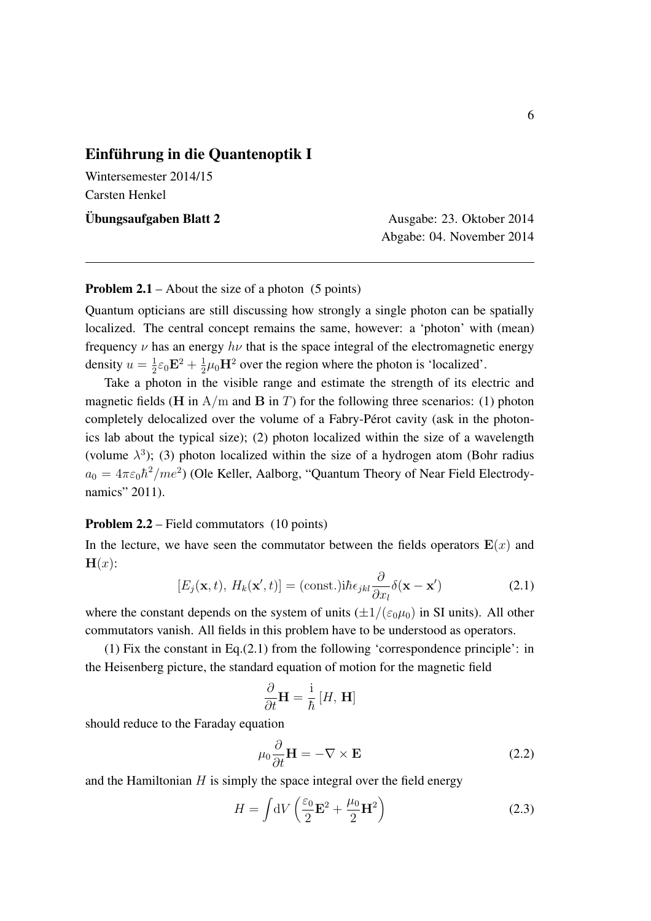## Einführung in die Quantenoptik I

Wintersemester 2014/15 Carsten Henkel

Ubungsaufgaben Blatt 2 ausgabe: 23. Oktober 2014

Abgabe: 04. November 2014

## **Problem 2.1** – About the size of a photon  $(5 \text{ points})$

Quantum opticians are still discussing how strongly a single photon can be spatially localized. The central concept remains the same, however: a 'photon' with (mean) frequency  $\nu$  has an energy  $h\nu$  that is the space integral of the electromagnetic energy density  $u = \frac{1}{2}\varepsilon_0 \mathbf{E}^2 + \frac{1}{2}\mu_0 \mathbf{H}^2$  over the region where the photon is 'localized'.

Take a photon in the visible range and estimate the strength of its electric and magnetic fields (H in  $A/m$  and B in *T*) for the following three scenarios: (1) photon completely delocalized over the volume of a Fabry-Pérot cavity (ask in the photonics lab about the typical size); (2) photon localized within the size of a wavelength (volume  $\lambda^3$ ); (3) photon localized within the size of a hydrogen atom (Bohr radius  $a_0 = 4\pi\varepsilon_0 \hbar^2 /me^2$ ) (Ole Keller, Aalborg, "Quantum Theory of Near Field Electrodynamics" 2011).

## Problem 2.2 – Field commutators (10 points)

In the lecture, we have seen the commutator between the fields operators  $E(x)$  and  $H(x)$ :

$$
[E_j(\mathbf{x},t), H_k(\mathbf{x}',t)] = (\text{const.})i\hbar\epsilon_{jkl}\frac{\partial}{\partial x_l}\delta(\mathbf{x}-\mathbf{x}') \qquad (2.1)
$$

where the constant depends on the system of units  $(\pm 1/(\varepsilon_0\mu_0))$  in SI units). All other commutators vanish. All fields in this problem have to be understood as operators.

(1) Fix the constant in Eq.(2.1) from the following 'correspondence principle': in the Heisenberg picture, the standard equation of motion for the magnetic field

$$
\frac{\partial}{\partial t} \mathbf{H} = \frac{\mathrm{i}}{\hbar} [H, \, \mathbf{H}]
$$

should reduce to the Faraday equation

$$
\mu_0 \frac{\partial}{\partial t} \mathbf{H} = -\nabla \times \mathbf{E}
$$
 (2.2)

and the Hamiltonian  $H$  is simply the space integral over the field energy

$$
H = \int dV \left(\frac{\varepsilon_0}{2} \mathbf{E}^2 + \frac{\mu_0}{2} \mathbf{H}^2\right)
$$
 (2.3)